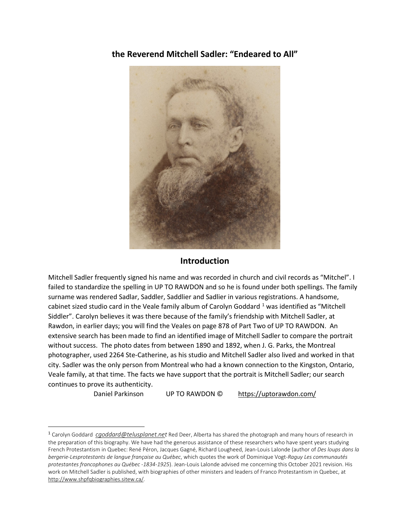**the Reverend Mitchell Sadler: "Endeared to All"**



## **Introduction**

Mitchell Sadler frequently signed his name and was recorded in church and civil records as "Mitchel". I failed to standardize the spelling in UP TO RAWDON and so he is found under both spellings. The family surname was rendered Sadlar, Saddler, Saddlier and Sadlier in various registrations. A handsome, cabinet sized studio card in the Veale family album of Carolyn Goddard<sup>[1](#page-0-0)</sup> was identified as "Mitchell Siddler". Carolyn believes it was there because of the family's friendship with Mitchell Sadler, at Rawdon, in earlier days; you will find the Veales on page 878 of Part Two of UP TO RAWDON. An extensive search has been made to find an identified image of Mitchell Sadler to compare the portrait without success. The photo dates from between 1890 and 1892, when J. G. Parks, the Montreal photographer, used 2264 Ste-Catherine, as his studio and Mitchell Sadler also lived and worked in that city. Sadler was the only person from Montreal who had a known connection to the Kingston, Ontario, Veale family, at that time. The facts we have support that the portrait is Mitchell Sadler; our search continues to prove its authenticity.

Daniel Parkinson UP TO RAWDON © <https://uptorawdon.com/>

<span id="page-0-0"></span><sup>1</sup> Carolyn Goddard *[cgoddard@telusplanet.net](mailto:cgoddard@telusplanet.ne)* Red Deer, Alberta has shared the photograph and many hours of research in the preparation of this biography. We have had the generous assistance of these researchers who have spent years studying French Protestantism in Quebec: René Péron, Jacques Gagné, Richard Lougheed, Jean-Louis Lalonde (author of *Des loups dans la bergerie-Lesprotestants de langue française au Québec*, which quotes the work of Dominique Vogt-*Raguy Les communautés protestantes francophones au Québec -1834-1925*). Jean-Louis Lalonde advised me concerning this October 2021 revision. His work on Mitchell Sadler is published, with biographies of other ministers and leaders of Franco Protestantism in Quebec, at [http://www.shpfqbiographies.sitew.ca/.](http://www.shpfqbiographies.sitew.ca/)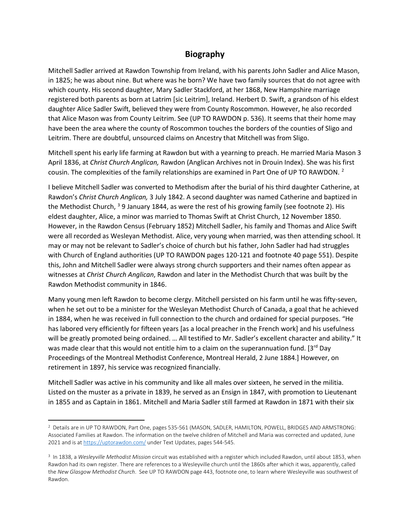## **Biography**

Mitchell Sadler arrived at Rawdon Township from Ireland, with his parents John Sadler and Alice Mason, in 1825; he was about nine. But where was he born? We have two family sources that do not agree with which county. His second daughter, Mary Sadler Stackford, at her 1868, New Hampshire marriage registered both parents as born at Latrim [sic Leitrim], Ireland. Herbert D. Swift, a grandson of his eldest daughter Alice Sadler Swift, believed they were from County Roscommon. However, he also recorded that Alice Mason was from County Leitrim. See (UP TO RAWDON p. 536). It seems that their home may have been the area where the county of Roscommon touches the borders of the counties of Sligo and Leitrim. There are doubtful, unsourced claims on Ancestry that Mitchell was from Sligo.

Mitchell spent his early life farming at Rawdon but with a yearning to preach. He married Maria Mason 3 April 1836, at *Christ Church Anglican,* Rawdon (Anglican Archives not in Drouin Index). She was his first cousin. The complexities of the family relationships are examined in Part One of UP TO RAWDON.  $2$ 

I believe Mitchell Sadler was converted to Methodism after the burial of his third daughter Catherine, at Rawdon's *Christ Church Anglican,* 3 July 1842. A second daughter was named Catherine and baptized in the Methodist Church,  $3$  9 January 1844, as were the rest of his growing family (see footnote 2). His eldest daughter, Alice, a minor was married to Thomas Swift at Christ Church, 12 November 1850. However, in the Rawdon Census (February 1852) Mitchell Sadler, his family and Thomas and Alice Swift were all recorded as Wesleyan Methodist. Alice, very young when married, was then attending school. It may or may not be relevant to Sadler's choice of church but his father, John Sadler had had struggles with Church of England authorities (UP TO RAWDON pages 120-121 and footnote 40 page 551). Despite this, John and Mitchell Sadler were always strong church supporters and their names often appear as witnesses at *Christ Church Anglican*, Rawdon and later in the Methodist Church that was built by the Rawdon Methodist community in 1846.

Many young men left Rawdon to become clergy. Mitchell persisted on his farm until he was fifty-seven, when he set out to be a minister for the Wesleyan Methodist Church of Canada, a goal that he achieved in 1884, when he was received in full connection to the church and ordained for special purposes. "He has labored very efficiently for fifteen years [as a local preacher in the French work] and his usefulness will be greatly promoted being ordained. … All testified to Mr. Sadler's excellent character and ability." It was made clear that this would not entitle him to a claim on the superannuation fund. [3<sup>rd</sup> Day Proceedings of the Montreal Methodist Conference, Montreal Herald, 2 June 1884.] However, on retirement in 1897, his service was recognized financially.

Mitchell Sadler was active in his community and like all males over sixteen, he served in the militia. Listed on the muster as a private in 1839, he served as an Ensign in 1847, with promotion to Lieutenant in 1855 and as Captain in 1861. Mitchell and Maria Sadler still farmed at Rawdon in 1871 with their six

<span id="page-1-0"></span><sup>2</sup> Details are in UP TO RAWDON, Part One, pages 535-561 (MASON, SADLER, HAMILTON, POWELL, BRIDGES AND ARMSTRONG: Associated Families at Rawdon. The information on the twelve children of Mitchell and Maria was corrected and updated, June 2021 and is a[t https://uptorawdon.com/](https://uptorawdon.com/) under Text Updates, pages 544-545.

<span id="page-1-1"></span><sup>3</sup> In 1838, a *Wesleyville Methodist Mission* circuit was established with a register which included Rawdon, until about 1853, when Rawdon had its own register. There are references to a Wesleyville church until the 1860s after which it was, apparently, called the *New Glasgow Methodist Church*. See UP TO RAWDON page 443, footnote one, to learn where Wesleyville was southwest of Rawdon.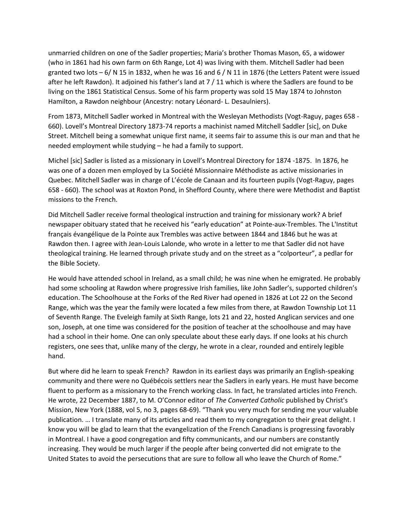unmarried children on one of the Sadler properties; Maria's brother Thomas Mason, 65, a widower (who in 1861 had his own farm on 6th Range, Lot 4) was living with them. Mitchell Sadler had been granted two lots –  $6/N$  15 in 1832, when he was 16 and 6 / N 11 in 1876 (the Letters Patent were issued after he left Rawdon). It adjoined his father's land at 7 / 11 which is where the Sadlers are found to be living on the 1861 Statistical Census. Some of his farm property was sold 15 May 1874 to Johnston Hamilton, a Rawdon neighbour (Ancestry: notary Léonard- L. Desaulniers).

From 1873, Mitchell Sadler worked in Montreal with the Wesleyan Methodists (Vogt-Raguy, pages 658 - 660). Lovell's Montreal Directory 1873-74 reports a machinist named Mitchell Saddler [sic], on Duke Street. Mitchell being a somewhat unique first name, it seems fair to assume this is our man and that he needed employment while studying – he had a family to support.

Michel [sic] Sadler is listed as a missionary in Lovell's Montreal Directory for 1874 -1875. In 1876, he was one of a dozen men employed by La Société Missionnaire Méthodiste as active missionaries in Quebec. Mitchell Sadler was in charge of L'école de Canaan and its fourteen pupils (Vogt-Raguy, pages 658 - 660). The school was at Roxton Pond, in Shefford County, where there were Methodist and Baptist missions to the French.

Did Mitchell Sadler receive formal theological instruction and training for missionary work? A brief newspaper obituary stated that he received his "early education" at Pointe-aux-Trembles. The L'Institut français évangélique de la Pointe aux Trembles was active between 1844 and 1846 but he was at Rawdon then. I agree with Jean-Louis Lalonde, who wrote in a letter to me that Sadler did not have theological training. He learned through private study and on the street as a "colporteur", a pedlar for the Bible Society.

He would have attended school in Ireland, as a small child; he was nine when he emigrated. He probably had some schooling at Rawdon where progressive Irish families, like John Sadler's, supported children's education. The Schoolhouse at the Forks of the Red River had opened in 1826 at Lot 22 on the Second Range, which was the year the family were located a few miles from there, at Rawdon Township Lot 11 of Seventh Range. The Eveleigh family at Sixth Range, lots 21 and 22, hosted Anglican services and one son, Joseph, at one time was considered for the position of teacher at the schoolhouse and may have had a school in their home. One can only speculate about these early days. If one looks at his church registers, one sees that, unlike many of the clergy, he wrote in a clear, rounded and entirely legible hand.

But where did he learn to speak French? Rawdon in its earliest days was primarily an English-speaking community and there were no Québécois settlers near the Sadlers in early years. He must have become fluent to perform as a missionary to the French working class. In fact, he translated articles into French. He wrote, 22 December 1887, to M. O'Connor editor of *The Converted Catholic* published by Christ's Mission, New York (1888, vol 5, no 3, pages 68-69). "Thank you very much for sending me your valuable publication. … I translate many of its articles and read them to my congregation to their great delight. I know you will be glad to learn that the evangelization of the French Canadians is progressing favorably in Montreal. I have a good congregation and fifty communicants, and our numbers are constantly increasing. They would be much larger if the people after being converted did not emigrate to the United States to avoid the persecutions that are sure to follow all who leave the Church of Rome."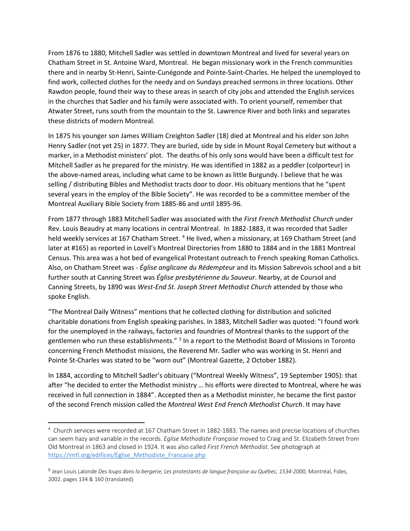From 1876 to 1880, Mitchell Sadler was settled in downtown Montreal and lived for several years on Chatham Street in St. Antoine Ward, Montreal. He began missionary work in the French communities there and in nearby St-Henri, Sainte-Cunégonde and Pointe-Saint-Charles. He helped the unemployed to find work, collected clothes for the needy and on Sundays preached sermons in three locations. Other Rawdon people, found their way to these areas in search of city jobs and attended the English services in the churches that Sadler and his family were associated with. To orient yourself, remember that Atwater Street, runs south from the mountain to the St. Lawrence River and both links and separates these districts of modern Montreal.

In 1875 his younger son James William Creighton Sadler (18) died at Montreal and his elder son John Henry Sadler (not yet 25) in 1877. They are buried, side by side in Mount Royal Cemetery but without a marker, in a Methodist ministers' plot. The deaths of his only sons would have been a difficult test for Mitchell Sadler as he prepared for the ministry. He was identified in 1882 as a peddler (colporteur) in the above-named areas, including what came to be known as little Burgundy. I believe that he was selling / distributing Bibles and Methodist tracts door to door. His obituary mentions that he "spent several years in the employ of the Bible Society". He was recorded to be a committee member of the Montreal Auxiliary Bible Society from 1885-86 and until 1895-96.

From 1877 through 1883 Mitchell Sadler was associated with the *First French Methodist Church* under Rev. Louis Beaudry at many locations in central Montreal. In 1882-1883, it was recorded that Sadler held weekly services at 167 Chatham Street. <sup>[4](#page-3-0)</sup> He lived, when a missionary, at 169 Chatham Street (and later at #165) as reported in Lovell's Montreal Directories from 1880 to 1884 and in the 1881 Montreal Census. This area was a hot bed of evangelical Protestant outreach to French speaking Roman Catholics. Also, on Chatham Street was - *Église anglicane du Rédempteur* and its Mission Sabrevois school and a bit further south at Canning Street was *Église presbytérienne du Sauveur*. Nearby, at de Coursol and Canning Streets, by 1890 was *West-End St. Joseph Street Methodist Church* attended by those who spoke English.

"The Montreal Daily Witness" mentions that he collected clothing for distribution and solicited charitable donations from English speaking parishes. In 1883, Mitchell Sadler was quoted: "I found work for the unemployed in the railways, factories and foundries of Montreal thanks to the support of the gentlemen who run these establishments." [5](#page-3-1) In a report to the Methodist Board of Missions in Toronto concerning French Methodist missions, the Reverend Mr. Sadler who was working in St. Henri and Pointe St-Charles was stated to be "worn out" (Montreal Gazette, 2 October 1882).

In 1884, according to Mitchell Sadler's obituary ("Montreal Weekly Witness", 19 September 1905): that after "he decided to enter the Methodist ministry … his efforts were directed to Montreal, where he was received in full connection in 1884". Accepted then as a Methodist minister, he became the first pastor of the second French mission called the *Montreal West End French Methodist Church*. It may have

<span id="page-3-0"></span><sup>4</sup> Church services were recorded at 167 Chatham Street in 1882-1883. The names and precise locations of churches can seem hazy and variable in the records. *Eglise Methodiste Française* moved to Craig and St. Elizabeth Street from Old Montreal in 1863 and closed in 1924. It was also called *First French Methodist*. See photograph at [https://imtl.org/edifices/Eglise\\_Methodiste\\_Francaise.php](https://imtl.org/edifices/Eglise_Methodiste_Francaise.php)

<span id="page-3-1"></span><sup>&</sup>lt;sup>5</sup> Jean Louis Lalonde *Des loups dans la bergerie, Les protestants de langue française au Québec, 1534-2000, Montréal, Fides,* 2002. pages 134 & 160 (translated)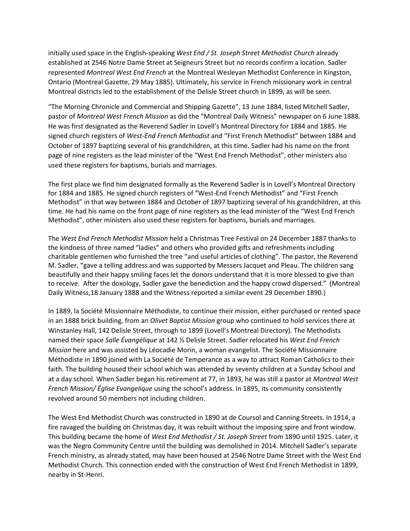initially used space in the English-speaking *West End / St. Joseph Street Methodist Church* already established at 2546 Notre Dame Street at Seigneurs Street but no records confirm a location. Sadler represented *Montreal West End French* at the Montreal Wesleyan Methodist Conference in Kingston, Ontario (Montreal Gazette, 29 May 1885). Ultimately, his service in French missionary work in central Montreal districts led to the establishment of the Delisle Street church in 1899, as will be seen.

"The Morning Chronicle and Commercial and Shipping Gazette", 13 June 1884, listed Mitchell Sadler, pastor of *Montreal West French Mission* as did the "Montreal Daily Witness" newspaper on 6 June 1888. He was first designated as the Reverend Sadler in Lovell's Montreal Directory for 1884 and 1885. He signed church registers of *West-End French Methodist* and "First French Methodist" between 1884 and October of 1897 baptizing several of his grandchildren, at this time. Sadler had his name on the front page of nine registers as the lead minister of the "West End French Methodist", other ministers also used these registers for baptisms, burials and marriages.

The first place we find him designated formally as the Reverend Sadler is in Lovell's Montreal Directory for 1884 and 1885. He signed church registers of "West-End French Methodist" and "First French Methodist" in that way between 1884 and October of 1897 baptizing several of his grandchildren, at this time. He had his name on the front page of nine registers as the lead minister of the "West End French Methodist", other ministers also used these registers for baptisms, burials and marriages.

The *West End French Methodist Mission* held a Christmas Tree Festival on 24 December 1887 thanks to the kindness of three named "ladies" and others who provided gifts and refreshments including charitable gentlemen who furnished the tree "and useful articles of clothing". The pastor, the Reverend M. Sadler, "gave a telling address and was supported by Messers Jacquet and Pleau. The children sang beautifully and their happy smiling faces let the donors understand that it is more blessed to give than to receive. After the doxology, Sadler gave the benediction and the happy crowd dispersed." (Montreal Daily Witness,18 January 1888 and the Witness reported a similar event 29 December 1890.)

In 1889, la Société Missionnaire Méthodiste, to continue their mission, either purchased or rented space in an 1888 brick building, from an *Olivet Baptist Mission* group who continued to hold services there at Winstanley Hall, 142 Delisle Street, through to 1899 (Lovell's Montreal Directory). The Methodists named their space *Salle Évangélique* at 142 ½ Delisle Street. Sadler relocated his *West End French Mission* here and was assisted by Léocadie Morin, a woman evangelist. The Société Missionnaire Méthodiste in 1890 joined with La Société de Temperance as a way to attract Roman Catholics to their faith. The building housed their school which was attended by seventy children at a Sunday School and at a day school. When Sadler began his retirement at 77, in 1893, he was still a pastor at *Montreal West French Mission/ Église Evangelique* using the school's address. In 1895, its community consistently revolved around 50 members not including children.

The West End Methodist Church was constructed in 1890 at de Coursol and Canning Streets. In 1914, a fire ravaged the building on Christmas day, it was rebuilt without the imposing spire and front window. This building became the home of *West End Methodist / St. Joseph Street* from 1890 until 1925. Later, it was the Negro Community Centre until the building was demolished in 2014. Mitchell Sadler's separate French ministry, as already stated, may have been housed at 2546 Notre Dame Street with the West End Methodist Church. This connection ended with the construction of West End French Methodist in 1899, nearby in St-Henri.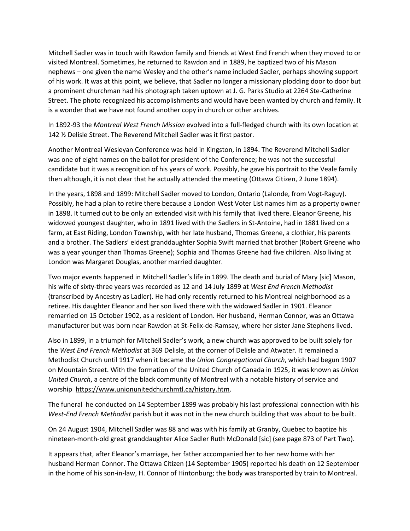Mitchell Sadler was in touch with Rawdon family and friends at West End French when they moved to or visited Montreal. Sometimes, he returned to Rawdon and in 1889, he baptized two of his Mason nephews – one given the name Wesley and the other's name included Sadler, perhaps showing support of his work. It was at this point, we believe, that Sadler no longer a missionary plodding door to door but a prominent churchman had his photograph taken uptown at J. G. Parks Studio at 2264 Ste-Catherine Street. The photo recognized his accomplishments and would have been wanted by church and family. It is a wonder that we have not found another copy in church or other archives.

In 1892-93 the *Montreal West French Mission* evolved into a full-fledged church with its own location at 142 ½ Delisle Street. The Reverend Mitchell Sadler was it first pastor.

Another Montreal Wesleyan Conference was held in Kingston, in 1894. The Reverend Mitchell Sadler was one of eight names on the ballot for president of the Conference; he was not the successful candidate but it was a recognition of his years of work. Possibly, he gave his portrait to the Veale family then although, it is not clear that he actually attended the meeting (Ottawa Citizen, 2 June 1894).

In the years, 1898 and 1899: Mitchell Sadler moved to London, Ontario (Lalonde, from Vogt-Raguy). Possibly, he had a plan to retire there because a London West Voter List names him as a property owner in 1898. It turned out to be only an extended visit with his family that lived there. Eleanor Greene, his widowed youngest daughter, who in 1891 lived with the Sadlers in St-Antoine, had in 1881 lived on a farm, at East Riding, London Township, with her late husband, Thomas Greene, a clothier, his parents and a brother. The Sadlers' eldest granddaughter Sophia Swift married that brother (Robert Greene who was a year younger than Thomas Greene); Sophia and Thomas Greene had five children. Also living at London was Margaret Douglas, another married daughter.

Two major events happened in Mitchell Sadler's life in 1899. The death and burial of Mary [sic] Mason, his wife of sixty-three years was recorded as 12 and 14 July 1899 at *West End French Methodist* (transcribed by Ancestry as Ladler). He had only recently returned to his Montreal neighborhood as a retiree. His daughter Eleanor and her son lived there with the widowed Sadler in 1901. Eleanor remarried on 15 October 1902, as a resident of London. Her husband, Herman Connor, was an Ottawa manufacturer but was born near Rawdon at St-Felix-de-Ramsay, where her sister Jane Stephens lived.

Also in 1899, in a triumph for Mitchell Sadler's work, a new church was approved to be built solely for the *West End French Methodist* at 369 Delisle, at the corner of Delisle and Atwater. It remained a Methodist Church until 1917 when it became the *Union Congregational Church*, which had begun 1907 on Mountain Street. With the formation of the United Church of Canada in 1925, it was known as *Union United Church*, a centre of the black community of Montreal with a notable history of service and worship [https://www.unionunitedchurchmtl.ca/history.htm.](https://www.unionunitedchurchmtl.ca/history.htm)

The funeral he conducted on 14 September 1899 was probably his last professional connection with his *West-End French Methodist* parish but it was not in the new church building that was about to be built.

On 24 August 1904, Mitchell Sadler was 88 and was with his family at Granby, Quebec to baptize his nineteen-month-old great granddaughter Alice Sadler Ruth McDonald [sic] (see page 873 of Part Two).

It appears that, after Eleanor's marriage, her father accompanied her to her new home with her husband Herman Connor. The Ottawa Citizen (14 September 1905) reported his death on 12 September in the home of his son-in-law, H. Connor of Hintonburg; the body was transported by train to Montreal.